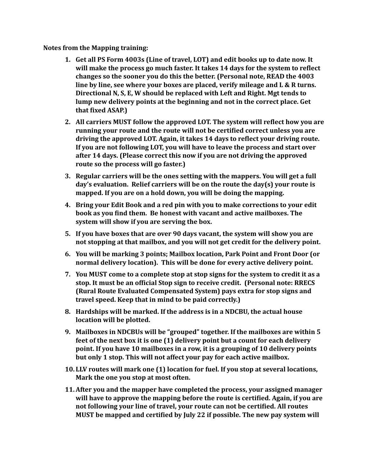**Notes from the Mapping training:** 

- **1.** Get all PS Form 4003s (Line of travel, LOT) and edit books up to date now. It will make the process go much faster. It takes 14 days for the system to reflect changes so the sooner you do this the better. (Personal note, READ the 4003 **line by line, see where your boxes are placed, verify mileage and L & R turns.** Directional N, S, E, W should be replaced with Left and Right. Mgt tends to lump new delivery points at the beginning and not in the correct place. Get that fixed ASAP.)
- **2.** All carriers MUST follow the approved LOT. The system will reflect how you are running your route and the route will not be certified correct unless you are driving the approved LOT. Again, it takes 14 days to reflect your driving route. **If you are not following LOT, you will have to leave the process and start over** after 14 days. (Please correct this now if you are not driving the approved **route so the process will go faster.)**
- **3.** Regular carriers will be the ones setting with the mappers. You will get a full day's evaluation. Relief carriers will be on the route the day(s) your route is mapped. If you are on a hold down, you will be doing the mapping.
- **4.** Bring your Edit Book and a red pin with you to make corrections to your edit **book as you find them. Be honest with vacant and active mailboxes. The** system will show if you are serving the box.
- **5.** If you have boxes that are over 90 days vacant, the system will show you are not stopping at that mailbox, and you will not get credit for the delivery point.
- **6.** You will be marking 3 points; Mailbox location, Park Point and Front Door (or normal delivery location). This will be done for every active delivery point.
- **7.** You MUST come to a complete stop at stop signs for the system to credit it as a stop. It must be an official Stop sign to receive credit. (Personal note: RRECS **(Rural Route Evaluated Compensated System) pays extra for stop signs and travel speed.** Keep that in mind to be paid correctly.)
- **8.** Hardships will be marked. If the address is in a NDCBU, the actual house **location will be plotted.**
- **9.** Mailboxes in NDCBUs will be "grouped" together. If the mailboxes are within 5 **feet of the next box it is one (1) delivery point but a count for each delivery point.** If you have 10 mailboxes in a row, it is a grouping of 10 delivery points but only 1 stop. This will not affect your pay for each active mailbox.
- **10. LLV routes will mark one (1) location for fuel. If you stop at several locations,** Mark the one you stop at most often.
- **11. After you and the mapper have completed the process, your assigned manager** will have to approve the mapping before the route is certified. Again, if you are not following your line of travel, your route can not be certified. All routes MUST be mapped and certified by July 22 if possible. The new pay system will